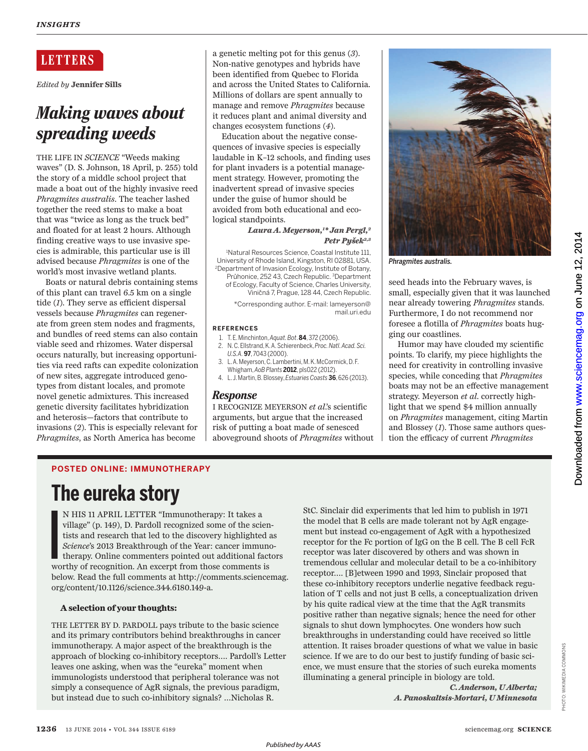# **LETTERS**

*Edited by* **Jennifer Sills**

# *Making waves about spreading weeds*

THE LIFE IN *SCIENCE* "Weeds making waves" (D. S. Johnson, 18 April, p. 255) told the story of a middle school project that made a boat out of the highly invasive reed *Phragmites australis*. The teacher lashed together the reed stems to make a boat that was "twice as long as the truck bed" and floated for at least 2 hours. Although finding creative ways to use invasive species is admirable, this particular use is ill advised because *Phragmites* is one of the world's most invasive wetland plants.

Boats or natural debris containing stems of this plant can travel 6.5 km on a single tide (*1*). They serve as efficient dispersal vessels because *Phragmites* can regenerate from green stem nodes and fragments, and bundles of reed stems can also contain viable seed and rhizomes. Water dispersal occurs naturally, but increasing opportunities via reed rafts can expedite colonization of new sites, aggregate introduced genotypes from distant locales, and promote novel genetic admixtures. This increased genetic diversity facilitates hybridization and heterosis—factors that contribute to invasions (*2*). This is especially relevant for *Phragmites*, as North America has become

a genetic melting pot for this genus (*3*). Non-native genotypes and hybrids have been identified from Quebec to Florida and across the United States to California. Millions of dollars are spent annually to manage and remove *Phragmites* because it reduces plant and animal diversity and changes ecosystem functions (*4*).

Education about the negative consequences of invasive species is especially laudable in K–12 schools, and finding uses for plant invaders is a potential management strategy. However, promoting the inadvertent spread of invasive species under the guise of humor should be avoided from both educational and ecological standpoints.

# *Laura A. Meyerson,<sup>1</sup> \* Jan Pergl, 2 Petr Pyšek2,3*

<sup>1</sup>Natural Resources Science, Coastal Institute 111, University of Rhode Island, Kingston, RI 02881, USA. <sup>2</sup>Department of Invasion Ecology, Institute of Botany, Průhonice, 252 43, Czech Republic. <sup>3</sup>Department

of Ecology, Faculty of Science, Charles University, Viničná 7, Prague, 128 44, Czech Republic.

\*Corresponding author. E-mail: lameyerson@ mail.uri.edu

## **REFERENCES**

- 1. T. E. Minchinton, *Aquat. Bot*. **84**, 372 (2006).
- 2. N. C. Ellstrand, K. A. Schierenbeck, *Proc. Natl. Acad. Sci. U.S.A.* **97**, 7043 (2000).
- 3. L. A. Meyerson, C. Lambertini, M. K. McCormick, D. F. Whigham, *AoB Plants* **2012**, pls022 (2012).
- 4. L. J. Martin, B. Blossey, *Estuaries Coasts* **36**, 626 (2013).

# *Response*

I RECOGNIZE MEYERSON *et al*.'s scientific arguments, but argue that the increased risk of putting a boat made of senesced aboveground shoots of *Phragmites* without



*Phragmites australis.*

seed heads into the February waves, is small, especially given that it was launched near already towering *Phragmites* stands. Furthermore, I do not recommend nor foresee a flotilla of *Phragmites* boats hugging our coastlines.

Humor may have clouded my scientific points. To clarify, my piece highlights the need for creativity in controlling invasive species, while conceding that *Phragmites*  boats may not be an effective management strategy. Meyerson *et al*. correctly highlight that we spend \$4 million annually on *Phragmites* management, citing Martin and Blossey (*1*). Those same authors question the efficacy of current *Phragmites*

# **POSTED ONLINE: IMMUNOTHERAPY**

# **The eureka story**

I volved the contract of the contract of the contract of the contract of the contract of the contract of the contract of the contract of the contract of the contract of the contract of the contract of the contract of the c N HIS 11 APRIL LETTER "Immunotherapy: It takes a village" (p. 149), D. Pardoll recognized some of the scientists and research that led to the discovery highlighted as *Science*'s 2013 Breakthrough of the Year: cancer immunotherapy. Online commenters pointed out additional factors worthy of recognition. An excerpt from those comments is below. Read the full comments at http://comments.sciencemag. org/content/10.1126/science.344.6180.149-a.

# **A selection of your thoughts:**

THE LETTER BY D. PARDOLL pays tribute to the basic science and its primary contributors behind breakthroughs in cancer immunotherapy. A major aspect of the breakthrough is the approach of blocking co-inhibitory receptors…. Pardoll's Letter leaves one asking, when was the "eureka" moment when immunologists understood that peripheral tolerance was not simply a consequence of AgR signals, the previous paradigm, but instead due to such co-inhibitory signals? …Nicholas R.

StC. Sinclair did experiments that led him to publish in 1971 the model that B cells are made tolerant not by AgR engagement but instead co-engagement of AgR with a hypothesized receptor for the Fc portion of IgG on the B cell. The B cell FcR receptor was later discovered by others and was shown in tremendous cellular and molecular detail to be a co-inhibitory receptor…. [B]etween 1990 and 1993, Sinclair proposed that these co-inhibitory receptors underlie negative feedback regulation of T cells and not just B cells, a conceptualization driven by his quite radical view at the time that the AgR transmits positive rather than negative signals; hence the need for other signals to shut down lymphocytes. One wonders how such breakthroughs in understanding could have received so little attention. It raises broader questions of what we value in basic science. If we are to do our best to justify funding of basic science, we must ensure that the stories of such eureka moments illuminating a general principle in biology are told.

> *C. Anderson, U Alberta; A. Panoskaltsis-Mortari, U Minnesota*